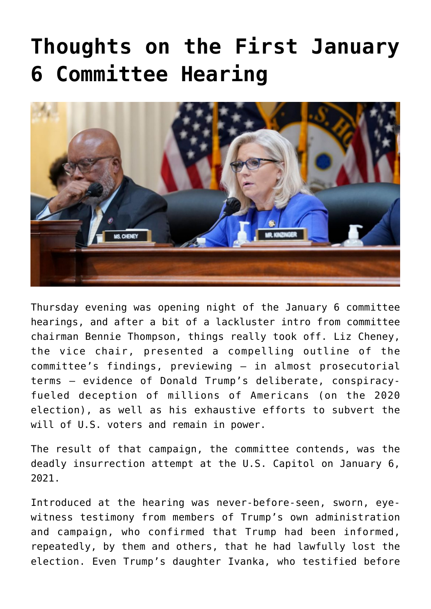## **[Thoughts on the First January](https://bernardgoldberg.com/thoughts-on-the-first-january-6-committee-hearing/) [6 Committee Hearing](https://bernardgoldberg.com/thoughts-on-the-first-january-6-committee-hearing/)**



Thursday evening was opening night of the January 6 committee hearings, and after a bit of a lackluster intro from committee chairman Bennie Thompson, things really took off. Liz Cheney, the vice chair, presented a compelling outline of the committee's findings, previewing — in almost prosecutorial terms — evidence of Donald Trump's deliberate, conspiracyfueled deception of millions of Americans (on the 2020 election), as well as his exhaustive efforts to subvert the will of U.S. voters and remain in power.

The result of that campaign, the committee contends, was the deadly insurrection attempt at the U.S. Capitol on January 6, 2021.

Introduced at the hearing was never-before-seen, sworn, eyewitness testimony from members of Trump's own administration and campaign, who confirmed that Trump had been informed, repeatedly, by them and others, that he had lawfully lost the election. Even Trump's daughter Ivanka, who testified before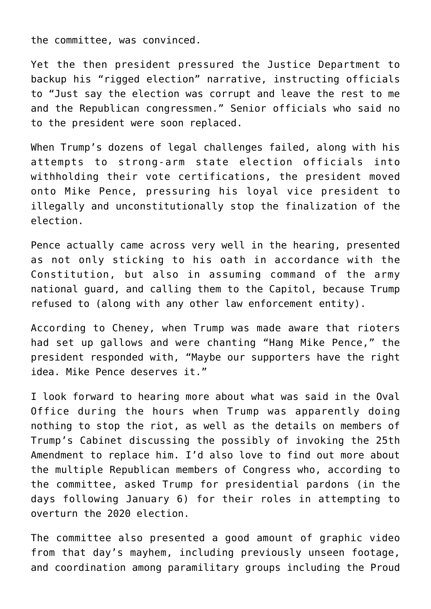the committee, was convinced.

Yet the then president pressured the Justice Department to backup his "rigged election" narrative, instructing officials to "Just say the election was corrupt and leave the rest to me and the Republican congressmen." Senior officials who said no to the president were soon replaced.

When Trump's dozens of legal challenges failed, along with his attempts to strong-arm state election officials into withholding their vote certifications, the president moved onto Mike Pence, pressuring his loyal vice president to illegally and unconstitutionally stop the finalization of the election.

Pence actually came across very well in the hearing, presented as not only sticking to his oath in accordance with the Constitution, but also in assuming command of the army national guard, and calling them to the Capitol, because Trump refused to (along with any other law enforcement entity).

According to Cheney, when Trump was made aware that rioters had set up gallows and were chanting "Hang Mike Pence," the president responded with, "Maybe our supporters have the right idea. Mike Pence deserves it."

I look forward to hearing more about what was said in the Oval Office during the hours when Trump was apparently doing nothing to stop the riot, as well as the details on members of Trump's Cabinet discussing the possibly of invoking the 25th Amendment to replace him. I'd also love to find out more about the multiple Republican members of Congress who, according to the committee, asked Trump for presidential pardons (in the days following January 6) for their roles in attempting to overturn the 2020 election.

The committee also presented a good amount of graphic video from that day's mayhem, including previously unseen footage, and coordination among paramilitary groups including the Proud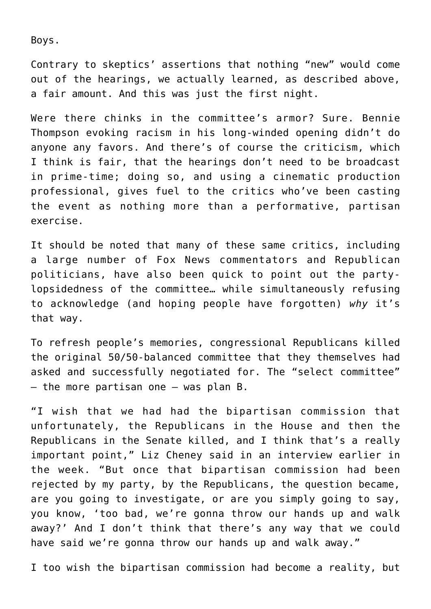Boys.

Contrary to skeptics' assertions that nothing "new" would come out of the hearings, we actually learned, as described above, a fair amount. And this was just the first night.

Were there chinks in the committee's armor? Sure. Bennie Thompson evoking racism in his long-winded opening didn't do anyone any favors. And there's of course the criticism, which I think is fair, that the hearings don't need to be broadcast in prime-time; doing so, and using a cinematic production professional, gives fuel to the critics who've been casting the event as nothing more than a performative, partisan exercise.

It should be noted that many of these same critics, including a large number of Fox News commentators and Republican politicians, have also been quick to point out the partylopsidedness of the committee… while simultaneously refusing to acknowledge (and hoping people have forgotten) *why* it's that way.

To refresh people's memories, congressional Republicans killed the original 50/50-balanced committee that they themselves had asked and successfully negotiated for. The "select committee"  $-$  the more partisan one  $-$  was plan B.

"I wish that we had had the bipartisan commission that unfortunately, the Republicans in the House and then the Republicans in the Senate killed, and I think that's a really important point," Liz Cheney said in an interview earlier in the week. "But once that bipartisan commission had been rejected by my party, by the Republicans, the question became, are you going to investigate, or are you simply going to say, you know, 'too bad, we're gonna throw our hands up and walk away?' And I don't think that there's any way that we could have said we're gonna throw our hands up and walk away."

I too wish the bipartisan commission had become a reality, but